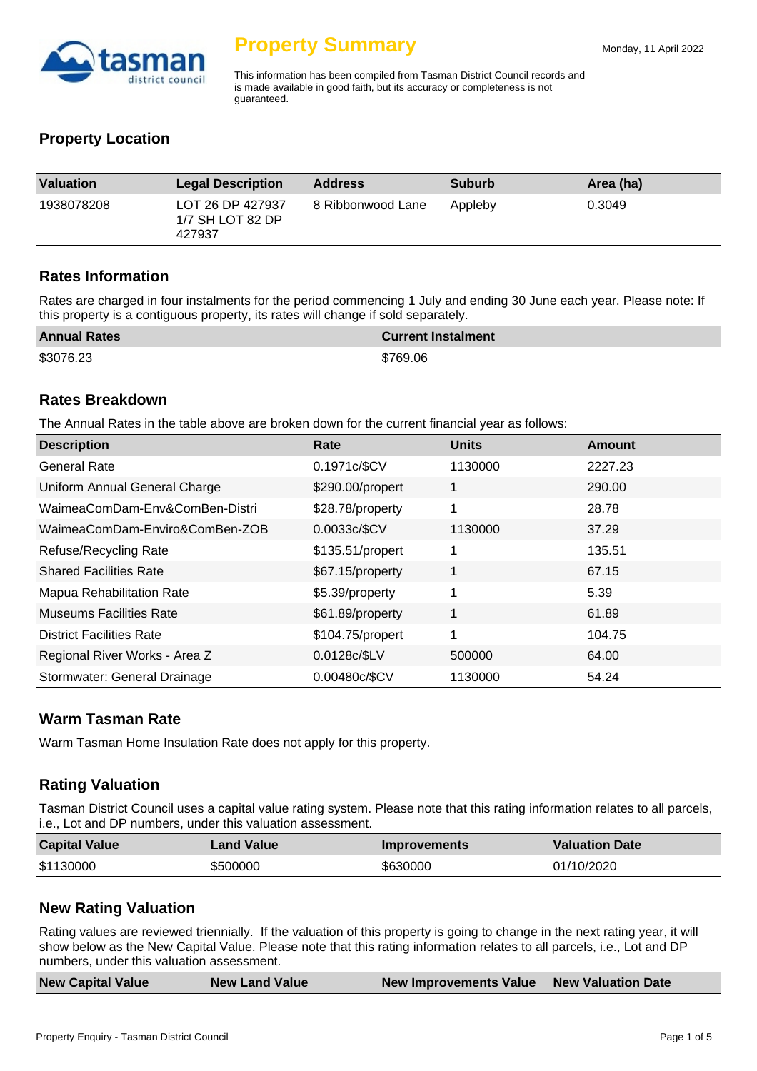

This information has been compiled from Tasman District Council records and is made available in good faith, but its accuracy or completeness is not guaranteed.

# **Property Location**

| <b>Valuation</b> | <b>Legal Description</b>                       | <b>Address</b>    | <b>Suburb</b> | Area (ha) |
|------------------|------------------------------------------------|-------------------|---------------|-----------|
| 1938078208       | LOT 26 DP 427937<br>1/7 SH LOT 82 DP<br>427937 | 8 Ribbonwood Lane | Appleby       | 0.3049    |

#### **Rates Information**

Rates are charged in four instalments for the period commencing 1 July and ending 30 June each year. Please note: If this property is a contiguous property, its rates will change if sold separately.

| <b>Annual Rates</b> | <b>Current Instalment</b> |
|---------------------|---------------------------|
| \$3076.23           | \$769.06                  |

#### **Rates Breakdown**

The Annual Rates in the table above are broken down for the current financial year as follows:

| <b>Description</b>             | Rate             | <b>Units</b> | <b>Amount</b> |
|--------------------------------|------------------|--------------|---------------|
| General Rate                   | 0.1971c/\$CV     | 1130000      | 2227.23       |
| Uniform Annual General Charge  | \$290.00/propert | 1            | 290.00        |
| WaimeaComDam-Env&ComBen-Distri | \$28.78/property | 1            | 28.78         |
| WaimeaComDam-Enviro&ComBen-ZOB | 0.0033c/\$CV     | 1130000      | 37.29         |
| Refuse/Recycling Rate          | \$135.51/propert | 1            | 135.51        |
| <b>Shared Facilities Rate</b>  | \$67.15/property | 1            | 67.15         |
| Mapua Rehabilitation Rate      | \$5.39/property  | 1            | 5.39          |
| Museums Facilities Rate        | \$61.89/property | 1            | 61.89         |
| District Facilities Rate       | \$104.75/propert | 1            | 104.75        |
| Regional River Works - Area Z  | 0.0128c/\$LV     | 500000       | 64.00         |
| Stormwater: General Drainage   | 0.00480c/\$CV    | 1130000      | 54.24         |

#### **Warm Tasman Rate**

Warm Tasman Home Insulation Rate does not apply for this property.

# **Rating Valuation**

Tasman District Council uses a capital value rating system. Please note that this rating information relates to all parcels, i.e., Lot and DP numbers, under this valuation assessment.

| <b>Capital Value</b> | Land Value | <b>Improvements</b> | <b>Valuation Date</b> |
|----------------------|------------|---------------------|-----------------------|
| \$1130000            | \$500000   | \$630000            | 01/10/2020            |

# **New Rating Valuation**

Rating values are reviewed triennially. If the valuation of this property is going to change in the next rating year, it will show below as the New Capital Value. Please note that this rating information relates to all parcels, i.e., Lot and DP numbers, under this valuation assessment.

| <b>New Capital Value</b> | <b>New Land Value</b> | New Improvements Value New Valuation Date |  |
|--------------------------|-----------------------|-------------------------------------------|--|
|                          |                       |                                           |  |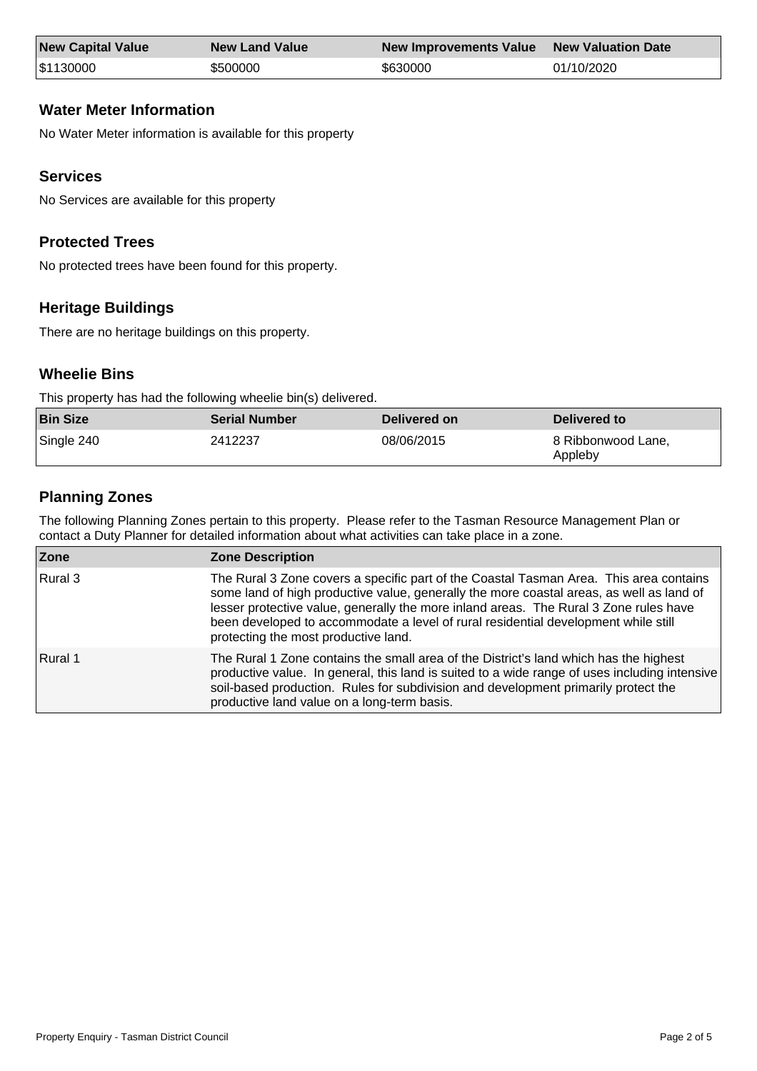| <b>New Capital Value</b> | <b>New Land Value</b> | New Improvements Value New Valuation Date |            |
|--------------------------|-----------------------|-------------------------------------------|------------|
| \$1130000                | \$500000              | \$630000                                  | 01/10/2020 |

# **Water Meter Information**

No Water Meter information is available for this property

# **Services**

No Services are available for this property

# **Protected Trees**

No protected trees have been found for this property.

# **Heritage Buildings**

There are no heritage buildings on this property.

# **Wheelie Bins**

This property has had the following wheelie bin(s) delivered.

| <b>Bin Size</b> | <b>Serial Number</b> | Delivered on | Delivered to                  |
|-----------------|----------------------|--------------|-------------------------------|
| Single 240      | 2412237              | 08/06/2015   | 8 Ribbonwood Lane.<br>Appleby |

# **Planning Zones**

The following Planning Zones pertain to this property. Please refer to the Tasman Resource Management Plan or contact a Duty Planner for detailed information about what activities can take place in a zone.

| Zone    | <b>Zone Description</b>                                                                                                                                                                                                                                                                                                                                                                                   |
|---------|-----------------------------------------------------------------------------------------------------------------------------------------------------------------------------------------------------------------------------------------------------------------------------------------------------------------------------------------------------------------------------------------------------------|
| Rural 3 | The Rural 3 Zone covers a specific part of the Coastal Tasman Area. This area contains<br>some land of high productive value, generally the more coastal areas, as well as land of<br>lesser protective value, generally the more inland areas. The Rural 3 Zone rules have<br>been developed to accommodate a level of rural residential development while still<br>protecting the most productive land. |
| Rural 1 | The Rural 1 Zone contains the small area of the District's land which has the highest<br>productive value. In general, this land is suited to a wide range of uses including intensive<br>soil-based production. Rules for subdivision and development primarily protect the<br>productive land value on a long-term basis.                                                                               |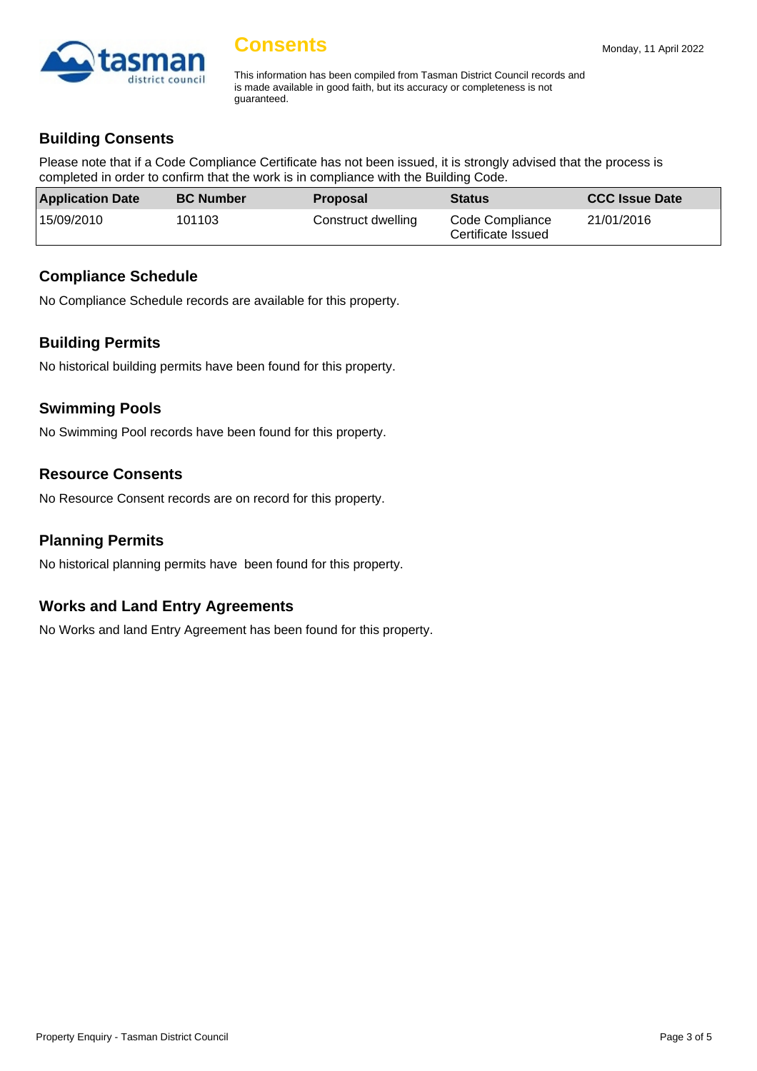

# **Consents**

This information has been compiled from Tasman District Council records and is made available in good faith, but its accuracy or completeness is not guaranteed.

# **Building Consents**

Please note that if a Code Compliance Certificate has not been issued, it is strongly advised that the process is completed in order to confirm that the work is in compliance with the Building Code.

| <b>Application Date</b> | <b>BC Number</b> | <b>Proposal</b>    | <b>Status</b>                         | <b>CCC Issue Date</b> |
|-------------------------|------------------|--------------------|---------------------------------------|-----------------------|
| 15/09/2010              | 101103           | Construct dwelling | Code Compliance<br>Certificate Issued | 21/01/2016            |

#### **Compliance Schedule**

No Compliance Schedule records are available for this property.

#### **Building Permits**

No historical building permits have been found for this property.

#### **Swimming Pools**

No Swimming Pool records have been found for this property.

#### **Resource Consents**

No Resource Consent records are on record for this property.

#### **Planning Permits**

No historical planning permits have been found for this property.

#### **Works and Land Entry Agreements**

No Works and land Entry Agreement has been found for this property.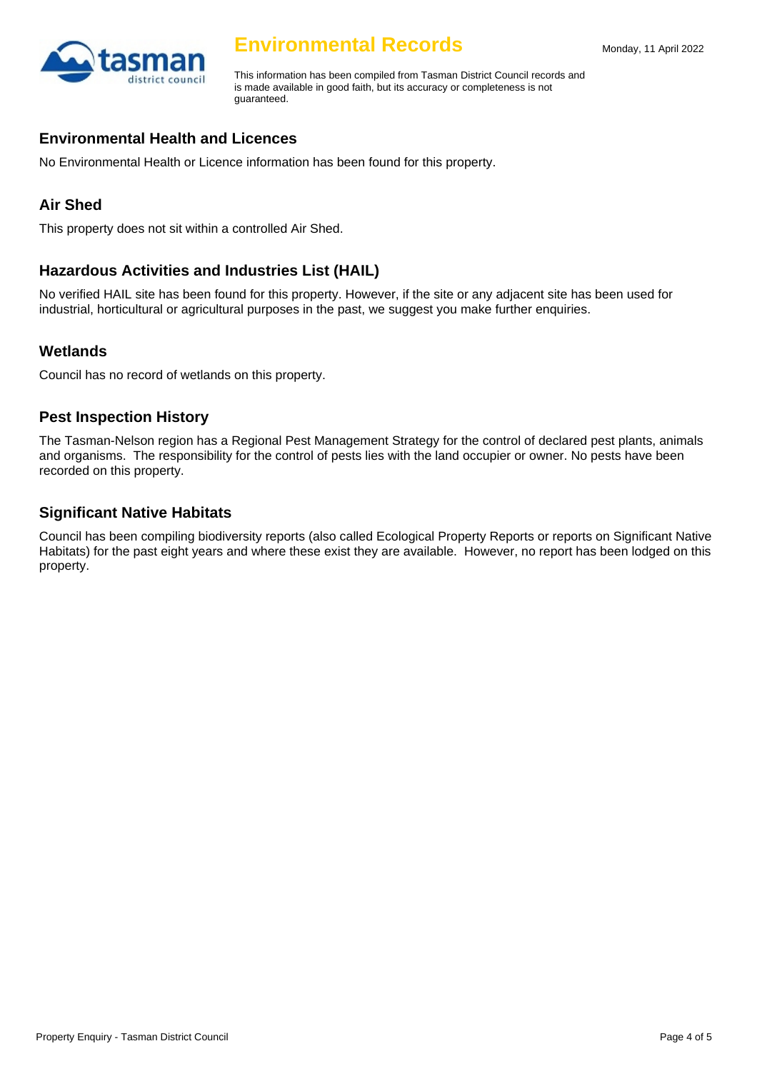

# **Environmental Records**

This information has been compiled from Tasman District Council records and is made available in good faith, but its accuracy or completeness is not guaranteed.

# **Environmental Health and Licences**

No Environmental Health or Licence information has been found for this property.

# **Air Shed**

This property does not sit within a controlled Air Shed.

# **Hazardous Activities and Industries List (HAIL)**

No verified HAIL site has been found for this property. However, if the site or any adjacent site has been used for industrial, horticultural or agricultural purposes in the past, we suggest you make further enquiries.

# **Wetlands**

Council has no record of wetlands on this property.

#### **Pest Inspection History**

The Tasman-Nelson region has a Regional Pest Management Strategy for the control of declared pest plants, animals and organisms. The responsibility for the control of pests lies with the land occupier or owner. No pests have been recorded on this property.

#### **Significant Native Habitats**

Council has been compiling biodiversity reports (also called Ecological Property Reports or reports on Significant Native Habitats) for the past eight years and where these exist they are available. However, no report has been lodged on this property.